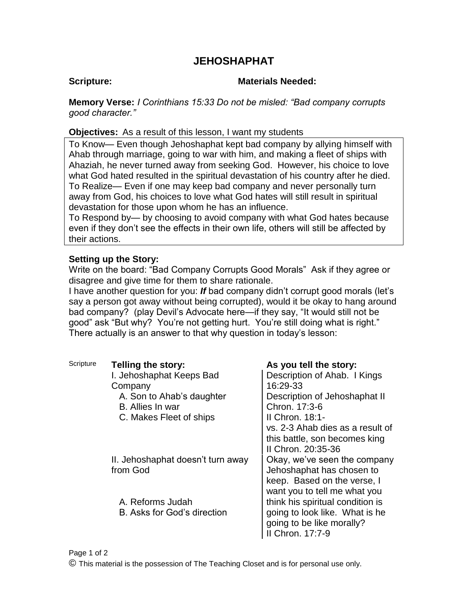# **JEHOSHAPHAT**

### **Scripture: Materials Needed:**

**Memory Verse:** *I Corinthians 15:33 Do not be misled: "Bad company corrupts good character."*

**Objectives:** As a result of this lesson, I want my students

To Know— Even though Jehoshaphat kept bad company by allying himself with Ahab through marriage, going to war with him, and making a fleet of ships with Ahaziah, he never turned away from seeking God. However, his choice to love what God hated resulted in the spiritual devastation of his country after he died. To Realize— Even if one may keep bad company and never personally turn away from God, his choices to love what God hates will still result in spiritual devastation for those upon whom he has an influence.

To Respond by— by choosing to avoid company with what God hates because even if they don't see the effects in their own life, others will still be affected by their actions.

## **Setting up the Story:**

Write on the board: "Bad Company Corrupts Good Morals" Ask if they agree or disagree and give time for them to share rationale.

I have another question for you: *If* bad company didn't corrupt good morals (let's say a person got away without being corrupted), would it be okay to hang around bad company? (play Devil's Advocate here—if they say, "It would still not be good" ask "But why? You're not getting hurt. You're still doing what is right." There actually is an answer to that why question in today's lesson:

| Scripture | Telling the story:                | As you tell the story:           |
|-----------|-----------------------------------|----------------------------------|
|           | I. Jehoshaphat Keeps Bad          | Description of Ahab. I Kings     |
|           | Company                           | 16:29-33                         |
|           | A. Son to Ahab's daughter         | Description of Jehoshaphat II    |
|           | B. Allies In war                  | Chron. 17:3-6                    |
|           | C. Makes Fleet of ships           | II Chron. 18:1-                  |
|           |                                   | vs. 2-3 Ahab dies as a result of |
|           |                                   | this battle, son becomes king    |
|           |                                   | II Chron. 20:35-36               |
|           | II. Jehoshaphat doesn't turn away | Okay, we've seen the company     |
|           | from God                          | Jehoshaphat has chosen to        |
|           |                                   | keep. Based on the verse, I      |
|           |                                   | want you to tell me what you     |
|           | A. Reforms Judah                  | think his spiritual condition is |
|           | B. Asks for God's direction       | going to look like. What is he   |
|           |                                   | going to be like morally?        |
|           |                                   | II Chron. 17:7-9                 |